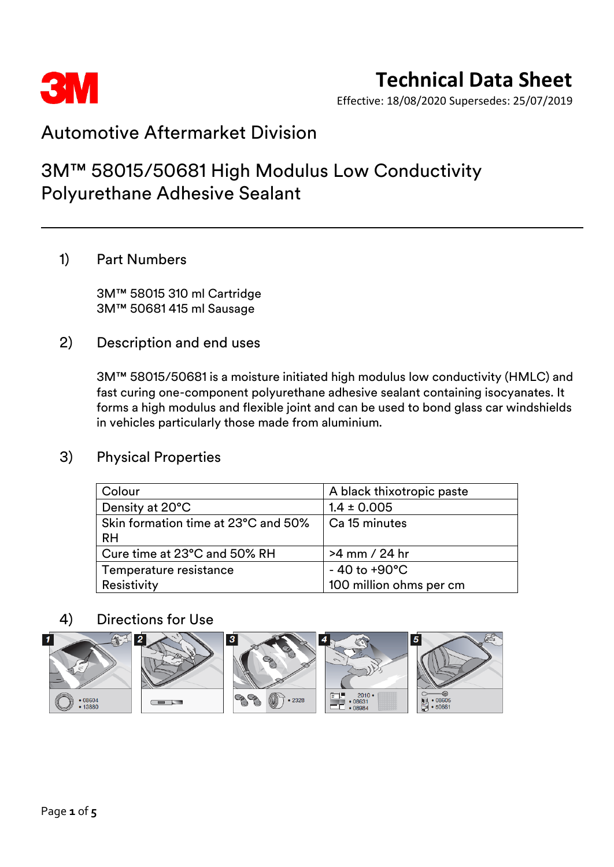

Effective: 18/08/2020 Supersedes: 25/07/2019

### Automotive Aftermarket Division

### 3M™ 58015/50681 High Modulus Low Conductivity Polyurethane Adhesive Sealant

### 1) Part Numbers

3M™ 58015 310 ml Cartridge 3M™ 50681 415 ml Sausage

2) Description and end uses

3M™ 58015/50681 is a moisture initiated high modulus low conductivity (HMLC) and fast curing one-component polyurethane adhesive sealant containing isocyanates. It forms a high modulus and flexible joint and can be used to bond glass car windshields in vehicles particularly those made from aluminium.

### 3) Physical Properties

| Colour                              | A black thixotropic paste |
|-------------------------------------|---------------------------|
| Density at 20°C                     | $1.4 \pm 0.005$           |
| Skin formation time at 23°C and 50% | Ca 15 minutes             |
| <b>RH</b>                           |                           |
| Cure time at 23°C and 50% RH        | >4 mm / 24 hr             |
| Temperature resistance              | $-40$ to +90 $^{\circ}$ C |
| Resistivity                         | 100 million ohms per cm   |

### 4) Directions for Use

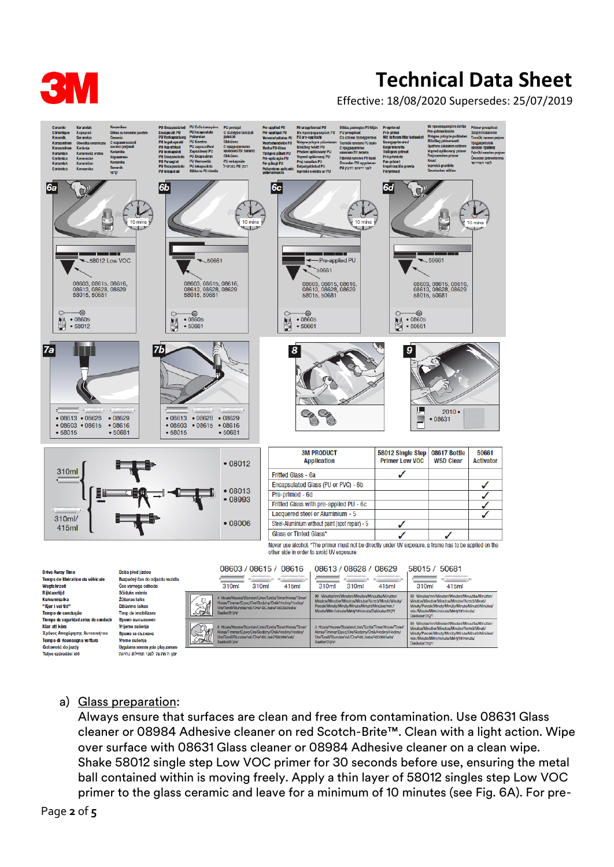

Effective: 18/08/2020 Supersedes: 25/07/2019



#### a) Glass preparation:

מן המתנה לפני תחילת נהיגה

Always ensure that surfaces are clean and free from contamination. Use 08631 Glass cleaner or 08984 Adhesive cleaner on red Scotch-Brite™. Clean with a light action. Wipe over surface with 08631 Glass cleaner or 08984 Adhesive cleaner on a clean wipe. Shake 58012 single step Low VOC primer for 30 seconds before use, ensuring the metal ball contained within is moving freely. Apply a thin layer of 58012 singles step Low VOC primer to the glass ceramic and leave for a minimum of 10 minutes (see Fig. 6A). For pre-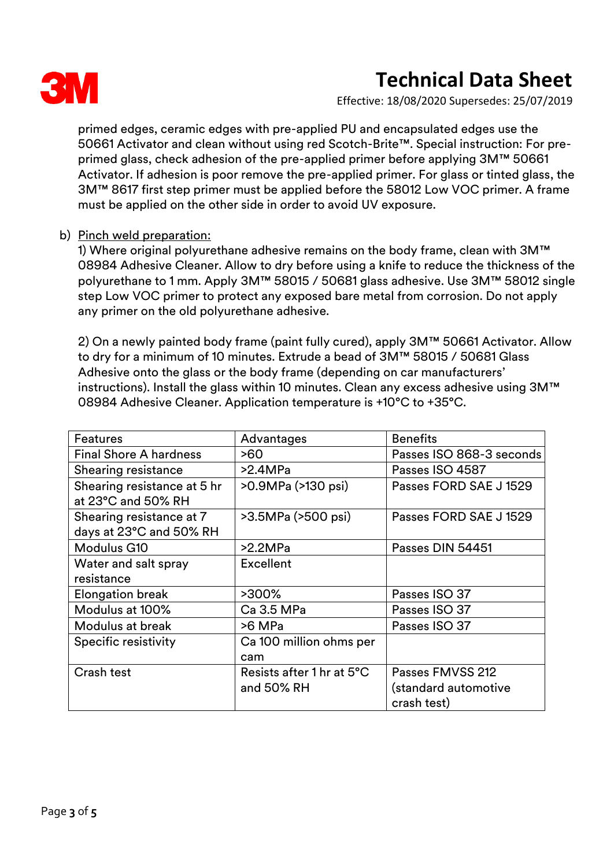

Effective: 18/08/2020 Supersedes: 25/07/2019

primed edges, ceramic edges with pre-applied PU and encapsulated edges use the 50661 Activator and clean without using red Scotch-Brite™. Special instruction: For preprimed glass, check adhesion of the pre-applied primer before applying 3M™ 50661 Activator. If adhesion is poor remove the pre-applied primer. For glass or tinted glass, the 3M™ 8617 first step primer must be applied before the 58012 Low VOC primer. A frame must be applied on the other side in order to avoid UV exposure.

#### b) Pinch weld preparation:

1) Where original polyurethane adhesive remains on the body frame, clean with 3M™ 08984 Adhesive Cleaner. Allow to dry before using a knife to reduce the thickness of the polyurethane to 1 mm. Apply 3M™ 58015 / 50681 glass adhesive. Use 3M™ 58012 single step Low VOC primer to protect any exposed bare metal from corrosion. Do not apply any primer on the old polyurethane adhesive.

2) On a newly painted body frame (paint fully cured), apply 3M™ 50661 Activator. Allow to dry for a minimum of 10 minutes. Extrude a bead of 3M™ 58015 / 50681 Glass Adhesive onto the glass or the body frame (depending on car manufacturers' instructions). Install the glass within 10 minutes. Clean any excess adhesive using 3M™ 08984 Adhesive Cleaner. Application temperature is +10°C to +35°C.

| Features                      | Advantages                | <b>Benefits</b>          |
|-------------------------------|---------------------------|--------------------------|
| <b>Final Shore A hardness</b> | >60                       | Passes ISO 868-3 seconds |
| Shearing resistance           | >2.4MPa                   | Passes ISO 4587          |
| Shearing resistance at 5 hr   | >0.9MPa (>130 psi)        | Passes FORD SAE J 1529   |
| at 23°C and 50% RH            |                           |                          |
| Shearing resistance at 7      | >3.5MPa (>500 psi)        | Passes FORD SAE J 1529   |
| days at 23°C and 50% RH       |                           |                          |
| Modulus G10                   | >2.2MPa                   | Passes DIN 54451         |
| Water and salt spray          | Excellent                 |                          |
| resistance                    |                           |                          |
| <b>Elongation break</b>       | >300%                     | Passes ISO 37            |
| Modulus at 100%               | Ca 3.5 MPa                | Passes ISO 37            |
| Modulus at break              | >6 MPa                    | Passes ISO 37            |
| Specific resistivity          | Ca 100 million ohms per   |                          |
|                               | cam                       |                          |
| Crash test                    | Resists after 1 hr at 5°C | Passes FMVSS 212         |
|                               | and 50% RH                | (standard automotive     |
|                               |                           | crash test)              |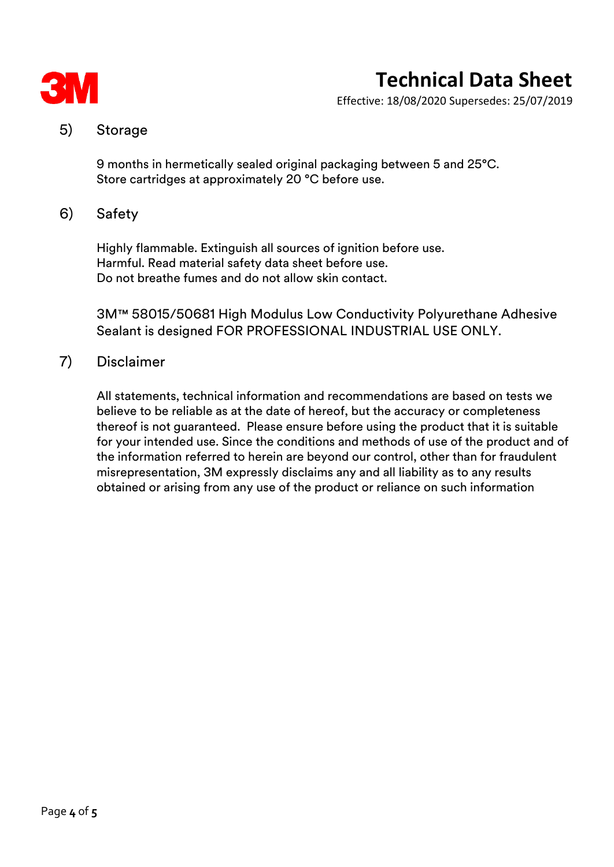

Effective: 18/08/2020 Supersedes: 25/07/2019

### 5) Storage

9 months in hermetically sealed original packaging between 5 and 25°C. Store cartridges at approximately 20 °C before use.

#### 6) Safety

Highly flammable. Extinguish all sources of ignition before use. Harmful. Read material safety data sheet before use. Do not breathe fumes and do not allow skin contact.

3M™ 58015/50681 High Modulus Low Conductivity Polyurethane Adhesive Sealant is designed FOR PROFESSIONAL INDUSTRIAL USE ONLY.

#### 7) Disclaimer

All statements, technical information and recommendations are based on tests we believe to be reliable as at the date of hereof, but the accuracy or completeness thereof is not guaranteed. Please ensure before using the product that it is suitable for your intended use. Since the conditions and methods of use of the product and of the information referred to herein are beyond our control, other than for fraudulent misrepresentation, 3M expressly disclaims any and all liability as to any results obtained or arising from any use of the product or reliance on such information